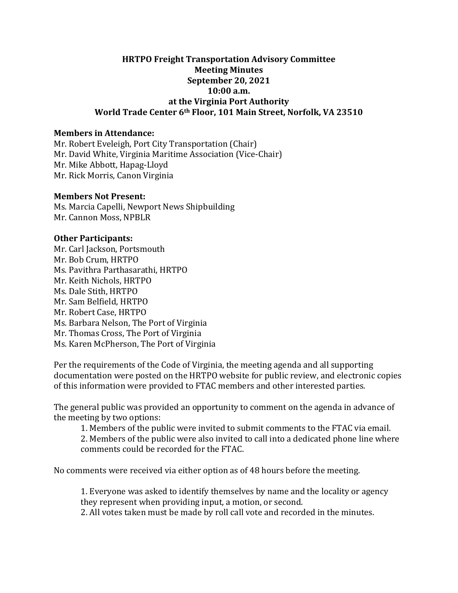#### **HRTPO Freight Transportation Advisory Committee Meeting Minutes September 20, 2021 10:00 a.m. at the Virginia Port Authority World Trade Center 6th Floor, 101 Main Street, Norfolk, VA 23510**

#### **Members in Attendance:**

Mr. Robert Eveleigh, Port City Transportation (Chair) Mr. David White, Virginia Maritime Association (Vice-Chair) Mr. Mike Abbott, Hapag-Lloyd Mr. Rick Morris, Canon Virginia

#### **Members Not Present:**

Ms. Marcia Capelli, Newport News Shipbuilding Mr. Cannon Moss, NPBLR

#### **Other Participants:**

Mr. Carl Jackson, Portsmouth Mr. Bob Crum, HRTPO Ms. Pavithra Parthasarathi, HRTPO Mr. Keith Nichols, HRTPO Ms. Dale Stith, HRTPO Mr. Sam Belfield, HRTPO Mr. Robert Case, HRTPO Ms. Barbara Nelson, The Port of Virginia Mr. Thomas Cross, The Port of Virginia Ms. Karen McPherson, The Port of Virginia

Per the requirements of the Code of Virginia, the meeting agenda and all supporting documentation were posted on the HRTPO website for public review, and electronic copies of this information were provided to FTAC members and other interested parties.

The general public was provided an opportunity to comment on the agenda in advance of the meeting by two options:

1. Members of the public were invited to submit comments to the FTAC via email.

2. Members of the public were also invited to call into a dedicated phone line where comments could be recorded for the FTAC.

No comments were received via either option as of 48 hours before the meeting.

1. Everyone was asked to identify themselves by name and the locality or agency they represent when providing input, a motion, or second.

2. All votes taken must be made by roll call vote and recorded in the minutes.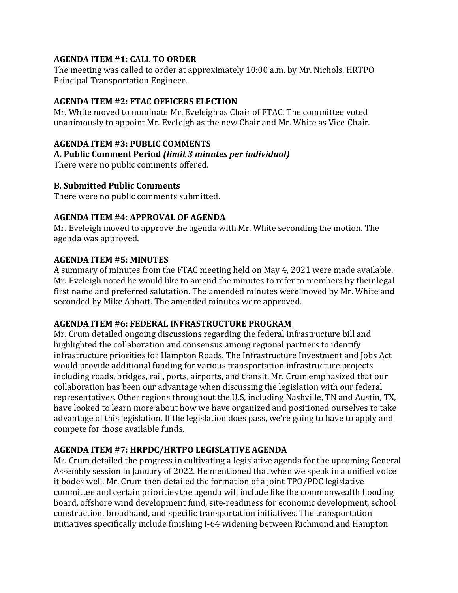## **AGENDA ITEM #1: CALL TO ORDER**

The meeting was called to order at approximately 10:00 a.m. by Mr. Nichols, HRTPO Principal Transportation Engineer.

# **AGENDA ITEM #2: FTAC OFFICERS ELECTION**

Mr. White moved to nominate Mr. Eveleigh as Chair of FTAC. The committee voted unanimously to appoint Mr. Eveleigh as the new Chair and Mr. White as Vice-Chair.

## **AGENDA ITEM #3: PUBLIC COMMENTS**

### **A. Public Comment Period** *(limit 3 minutes per individual)*

There were no public comments offered.

### **B. Submitted Public Comments**

There were no public comments submitted.

### **AGENDA ITEM #4: APPROVAL OF AGENDA**

Mr. Eveleigh moved to approve the agenda with Mr. White seconding the motion. The agenda was approved.

### **AGENDA ITEM #5: MINUTES**

A summary of minutes from the FTAC meeting held on May 4, 2021 were made available. Mr. Eveleigh noted he would like to amend the minutes to refer to members by their legal first name and preferred salutation. The amended minutes were moved by Mr. White and seconded by Mike Abbott. The amended minutes were approved.

### **AGENDA ITEM #6: FEDERAL INFRASTRUCTURE PROGRAM**

Mr. Crum detailed ongoing discussions regarding the federal infrastructure bill and highlighted the collaboration and consensus among regional partners to identify infrastructure priorities for Hampton Roads. The Infrastructure Investment and Jobs Act would provide additional funding for various transportation infrastructure projects including roads, bridges, rail, ports, airports, and transit. Mr. Crum emphasized that our collaboration has been our advantage when discussing the legislation with our federal representatives. Other regions throughout the U.S, including Nashville, TN and Austin, TX, have looked to learn more about how we have organized and positioned ourselves to take advantage of this legislation. If the legislation does pass, we're going to have to apply and compete for those available funds.

### **AGENDA ITEM #7: HRPDC/HRTPO LEGISLATIVE AGENDA**

Mr. Crum detailed the progress in cultivating a legislative agenda for the upcoming General Assembly session in January of 2022. He mentioned that when we speak in a unified voice it bodes well. Mr. Crum then detailed the formation of a joint TPO/PDC legislative committee and certain priorities the agenda will include like the commonwealth flooding board, offshore wind development fund, site-readiness for economic development, school construction, broadband, and specific transportation initiatives. The transportation initiatives specifically include finishing I-64 widening between Richmond and Hampton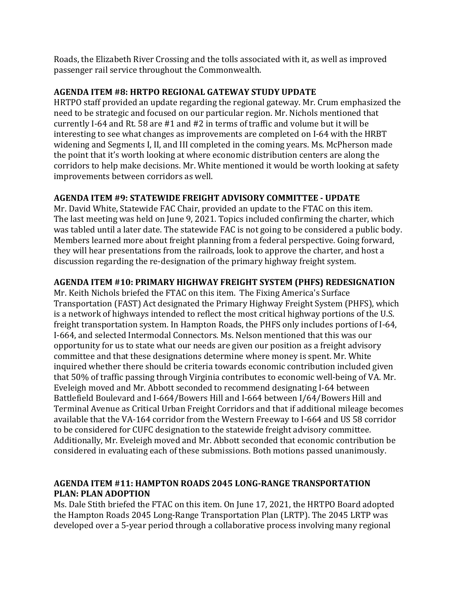Roads, the Elizabeth River Crossing and the tolls associated with it, as well as improved passenger rail service throughout the Commonwealth.

# **AGENDA ITEM #8: HRTPO REGIONAL GATEWAY STUDY UPDATE**

HRTPO staff provided an update regarding the regional gateway. Mr. Crum emphasized the need to be strategic and focused on our particular region. Mr. Nichols mentioned that currently I-64 and Rt. 58 are #1 and #2 in terms of traffic and volume but it will be interesting to see what changes as improvements are completed on I-64 with the HRBT widening and Segments I, II, and III completed in the coming years. Ms. McPherson made the point that it's worth looking at where economic distribution centers are along the corridors to help make decisions. Mr. White mentioned it would be worth looking at safety improvements between corridors as well.

# **AGENDA ITEM #9: STATEWIDE FREIGHT ADVISORY COMMITTEE - UPDATE**

Mr. David White, Statewide FAC Chair, provided an update to the FTAC on this item. The last meeting was held on June 9, 2021. Topics included confirming the charter, which was tabled until a later date. The statewide FAC is not going to be considered a public body. Members learned more about freight planning from a federal perspective. Going forward, they will hear presentations from the railroads, look to approve the charter, and host a discussion regarding the re-designation of the primary highway freight system.

# **AGENDA ITEM #10: PRIMARY HIGHWAY FREIGHT SYSTEM (PHFS) REDESIGNATION**

Mr. Keith Nichols briefed the FTAC on this item. The Fixing America's Surface Transportation (FAST) Act designated the Primary Highway Freight System (PHFS), which is a network of highways intended to reflect the most critical highway portions of the U.S. freight transportation system. In Hampton Roads, the PHFS only includes portions of I-64, I-664, and selected Intermodal Connectors. Ms. Nelson mentioned that this was our opportunity for us to state what our needs are given our position as a freight advisory committee and that these designations determine where money is spent. Mr. White inquired whether there should be criteria towards economic contribution included given that 50% of traffic passing through Virginia contributes to economic well-being of VA. Mr. Eveleigh moved and Mr. Abbott seconded to recommend designating I-64 between Battlefield Boulevard and I-664/Bowers Hill and I-664 between I/64/Bowers Hill and Terminal Avenue as Critical Urban Freight Corridors and that if additional mileage becomes available that the VA-164 corridor from the Western Freeway to I-664 and US 58 corridor to be considered for CUFC designation to the statewide freight advisory committee. Additionally, Mr. Eveleigh moved and Mr. Abbott seconded that economic contribution be considered in evaluating each of these submissions. Both motions passed unanimously.

# **AGENDA ITEM #11: HAMPTON ROADS 2045 LONG-RANGE TRANSPORTATION PLAN: PLAN ADOPTION**

Ms. Dale Stith briefed the FTAC on this item. On June 17, 2021, the HRTPO Board adopted the Hampton Roads 2045 Long-Range Transportation Plan (LRTP). The 2045 LRTP was developed over a 5-year period through a collaborative process involving many regional